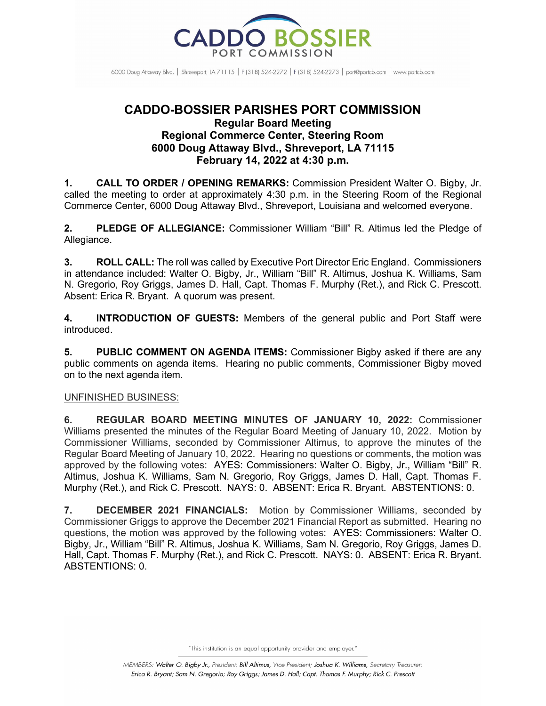

6000 Doug Attaway Blvd. | Shreveport, IA 71115 | P (318) 524-2272 | F (318) 524-2273 | port@portcb.com | www.portcb.com

## **CADDO-BOSSIER PARISHES PORT COMMISSION Regular Board Meeting Regional Commerce Center, Steering Room 6000 Doug Attaway Blvd., Shreveport, LA 71115 February 14, 2022 at 4:30 p.m.**

**1. CALL TO ORDER / OPENING REMARKS:** Commission President Walter O. Bigby, Jr. called the meeting to order at approximately 4:30 p.m. in the Steering Room of the Regional Commerce Center, 6000 Doug Attaway Blvd., Shreveport, Louisiana and welcomed everyone.

**2. PLEDGE OF ALLEGIANCE:** Commissioner William "Bill" R. Altimus led the Pledge of Allegiance.

**3. ROLL CALL:** The roll was called by Executive Port Director Eric England. Commissioners in attendance included: Walter O. Bigby, Jr., William "Bill" R. Altimus, Joshua K. Williams, Sam N. Gregorio, Roy Griggs, James D. Hall, Capt. Thomas F. Murphy (Ret.), and Rick C. Prescott. Absent: Erica R. Bryant. A quorum was present.

**4. INTRODUCTION OF GUESTS:** Members of the general public and Port Staff were introduced.

**5. PUBLIC COMMENT ON AGENDA ITEMS:** Commissioner Bigby asked if there are any public comments on agenda items. Hearing no public comments, Commissioner Bigby moved on to the next agenda item.

## UNFINISHED BUSINESS:

**6. REGULAR BOARD MEETING MINUTES OF JANUARY 10, 2022:** Commissioner Williams presented the minutes of the Regular Board Meeting of January 10, 2022. Motion by Commissioner Williams, seconded by Commissioner Altimus, to approve the minutes of the Regular Board Meeting of January 10, 2022. Hearing no questions or comments, the motion was approved by the following votes: AYES: Commissioners: Walter O. Bigby, Jr., William "Bill" R. Altimus, Joshua K. Williams, Sam N. Gregorio, Roy Griggs, James D. Hall, Capt. Thomas F. Murphy (Ret.), and Rick C. Prescott. NAYS: 0. ABSENT: Erica R. Bryant. ABSTENTIONS: 0.

**7. DECEMBER 2021 FINANCIALS:** Motion by Commissioner Williams, seconded by Commissioner Griggs to approve the December 2021 Financial Report as submitted. Hearing no questions, the motion was approved by the following votes: AYES: Commissioners: Walter O. Bigby, Jr., William "Bill" R. Altimus, Joshua K. Williams, Sam N. Gregorio, Roy Griggs, James D. Hall, Capt. Thomas F. Murphy (Ret.), and Rick C. Prescott. NAYS: 0. ABSENT: Erica R. Bryant. ABSTENTIONS: 0.

"This institution is an equal opportunity provider and employer."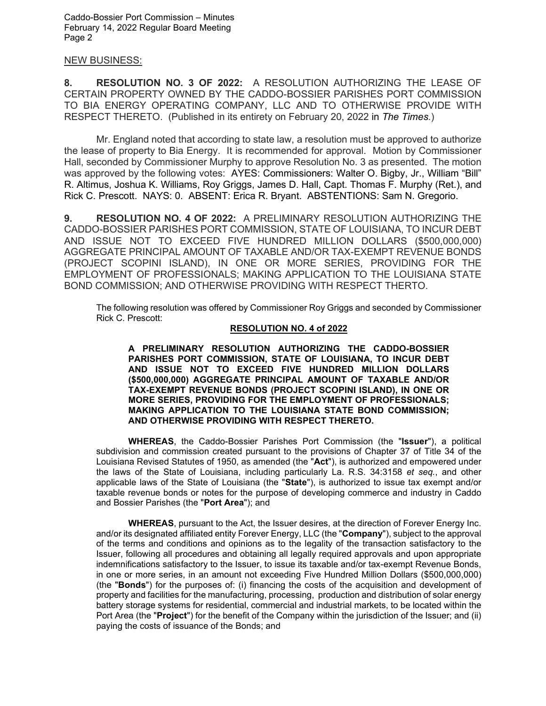## NEW BUSINESS:

**8. RESOLUTION NO. 3 OF 2022:** A RESOLUTION AUTHORIZING THE LEASE OF CERTAIN PROPERTY OWNED BY THE CADDO-BOSSIER PARISHES PORT COMMISSION TO BIA ENERGY OPERATING COMPANY, LLC AND TO OTHERWISE PROVIDE WITH RESPECT THERETO. (Published in its entirety on February 20, 2022 in *The Times*.)

Mr. England noted that according to state law, a resolution must be approved to authorize the lease of property to Bia Energy. It is recommended for approval. Motion by Commissioner Hall, seconded by Commissioner Murphy to approve Resolution No. 3 as presented. The motion was approved by the following votes: AYES: Commissioners: Walter O. Bigby, Jr., William "Bill" R. Altimus, Joshua K. Williams, Roy Griggs, James D. Hall, Capt. Thomas F. Murphy (Ret.), and Rick C. Prescott. NAYS: 0. ABSENT: Erica R. Bryant. ABSTENTIONS: Sam N. Gregorio.

**9. RESOLUTION NO. 4 OF 2022:** A PRELIMINARY RESOLUTION AUTHORIZING THE CADDO-BOSSIER PARISHES PORT COMMISSION, STATE OF LOUISIANA, TO INCUR DEBT AND ISSUE NOT TO EXCEED FIVE HUNDRED MILLION DOLLARS (\$500,000,000) AGGREGATE PRINCIPAL AMOUNT OF TAXABLE AND/OR TAX-EXEMPT REVENUE BONDS (PROJECT SCOPINI ISLAND), IN ONE OR MORE SERIES, PROVIDING FOR THE EMPLOYMENT OF PROFESSIONALS; MAKING APPLICATION TO THE LOUISIANA STATE BOND COMMISSION; AND OTHERWISE PROVIDING WITH RESPECT THERTO.

The following resolution was offered by Commissioner Roy Griggs and seconded by Commissioner Rick C. Prescott:

## **RESOLUTION NO. 4 of 2022**

**A PRELIMINARY RESOLUTION AUTHORIZING THE CADDO-BOSSIER PARISHES PORT COMMISSION, STATE OF LOUISIANA, TO INCUR DEBT AND ISSUE NOT TO EXCEED FIVE HUNDRED MILLION DOLLARS (\$500,000,000) AGGREGATE PRINCIPAL AMOUNT OF TAXABLE AND/OR TAX-EXEMPT REVENUE BONDS (PROJECT SCOPINI ISLAND), IN ONE OR MORE SERIES, PROVIDING FOR THE EMPLOYMENT OF PROFESSIONALS; MAKING APPLICATION TO THE LOUISIANA STATE BOND COMMISSION; AND OTHERWISE PROVIDING WITH RESPECT THERETO.**

**WHEREAS**, the Caddo-Bossier Parishes Port Commission (the "**Issuer**"), a political subdivision and commission created pursuant to the provisions of Chapter 37 of Title 34 of the Louisiana Revised Statutes of 1950, as amended (the "**Act**"), is authorized and empowered under the laws of the State of Louisiana, including particularly La. R.S. 34:3158 *et seq.*, and other applicable laws of the State of Louisiana (the "**State**"), is authorized to issue tax exempt and/or taxable revenue bonds or notes for the purpose of developing commerce and industry in Caddo and Bossier Parishes (the "**Port Area**"); and

**WHEREAS**, pursuant to the Act, the Issuer desires, at the direction of Forever Energy Inc. and/or its designated affiliated entity Forever Energy, LLC (the "**Company**"), subject to the approval of the terms and conditions and opinions as to the legality of the transaction satisfactory to the Issuer, following all procedures and obtaining all legally required approvals and upon appropriate indemnifications satisfactory to the Issuer, to issue its taxable and/or tax-exempt Revenue Bonds, in one or more series, in an amount not exceeding Five Hundred Million Dollars (\$500,000,000) (the "**Bonds**") for the purposes of: (i) financing the costs of the acquisition and development of property and facilities for the manufacturing, processing, production and distribution of solar energy battery storage systems for residential, commercial and industrial markets, to be located within the Port Area (the "**Project**") for the benefit of the Company within the jurisdiction of the Issuer; and (ii) paying the costs of issuance of the Bonds; and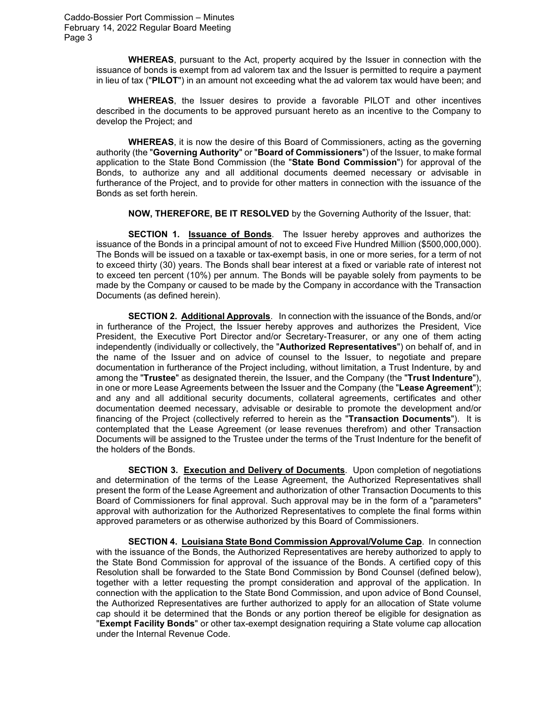**WHEREAS**, pursuant to the Act, property acquired by the Issuer in connection with the issuance of bonds is exempt from ad valorem tax and the Issuer is permitted to require a payment in lieu of tax ("**PILOT**") in an amount not exceeding what the ad valorem tax would have been; and

**WHEREAS**, the Issuer desires to provide a favorable PILOT and other incentives described in the documents to be approved pursuant hereto as an incentive to the Company to develop the Project; and

**WHEREAS**, it is now the desire of this Board of Commissioners, acting as the governing authority (the "**Governing Authority**" or "**Board of Commissioners**") of the Issuer, to make formal application to the State Bond Commission (the "**State Bond Commission**") for approval of the Bonds, to authorize any and all additional documents deemed necessary or advisable in furtherance of the Project, and to provide for other matters in connection with the issuance of the Bonds as set forth herein.

**NOW, THEREFORE, BE IT RESOLVED** by the Governing Authority of the Issuer, that:

**SECTION 1. Issuance of Bonds**. The Issuer hereby approves and authorizes the issuance of the Bonds in a principal amount of not to exceed Five Hundred Million (\$500,000,000). The Bonds will be issued on a taxable or tax-exempt basis, in one or more series, for a term of not to exceed thirty (30) years. The Bonds shall bear interest at a fixed or variable rate of interest not to exceed ten percent (10%) per annum. The Bonds will be payable solely from payments to be made by the Company or caused to be made by the Company in accordance with the Transaction Documents (as defined herein).

**SECTION 2. Additional Approvals**. In connection with the issuance of the Bonds, and/or in furtherance of the Project, the Issuer hereby approves and authorizes the President, Vice President, the Executive Port Director and/or Secretary-Treasurer, or any one of them acting independently (individually or collectively, the "**Authorized Representatives**") on behalf of, and in the name of the Issuer and on advice of counsel to the Issuer, to negotiate and prepare documentation in furtherance of the Project including, without limitation, a Trust Indenture, by and among the "**Trustee**" as designated therein, the Issuer, and the Company (the "**Trust Indenture**"), in one or more Lease Agreements between the Issuer and the Company (the "**Lease Agreement**"); and any and all additional security documents, collateral agreements, certificates and other documentation deemed necessary, advisable or desirable to promote the development and/or financing of the Project (collectively referred to herein as the "**Transaction Documents**"). It is contemplated that the Lease Agreement (or lease revenues therefrom) and other Transaction Documents will be assigned to the Trustee under the terms of the Trust Indenture for the benefit of the holders of the Bonds.

**SECTION 3. Execution and Delivery of Documents**. Upon completion of negotiations and determination of the terms of the Lease Agreement, the Authorized Representatives shall present the form of the Lease Agreement and authorization of other Transaction Documents to this Board of Commissioners for final approval. Such approval may be in the form of a "parameters" approval with authorization for the Authorized Representatives to complete the final forms within approved parameters or as otherwise authorized by this Board of Commissioners.

**SECTION 4. Louisiana State Bond Commission Approval/Volume Cap**. In connection with the issuance of the Bonds, the Authorized Representatives are hereby authorized to apply to the State Bond Commission for approval of the issuance of the Bonds. A certified copy of this Resolution shall be forwarded to the State Bond Commission by Bond Counsel (defined below), together with a letter requesting the prompt consideration and approval of the application. In connection with the application to the State Bond Commission, and upon advice of Bond Counsel, the Authorized Representatives are further authorized to apply for an allocation of State volume cap should it be determined that the Bonds or any portion thereof be eligible for designation as "**Exempt Facility Bonds**" or other tax-exempt designation requiring a State volume cap allocation under the Internal Revenue Code.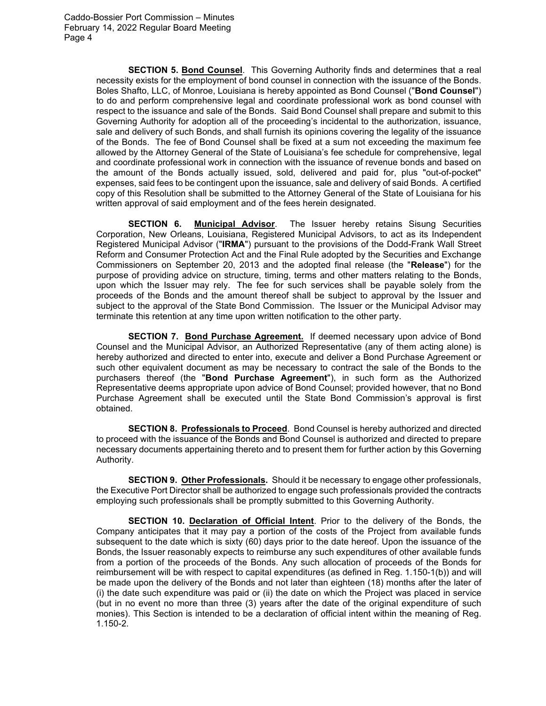**SECTION 5. Bond Counsel**. This Governing Authority finds and determines that a real necessity exists for the employment of bond counsel in connection with the issuance of the Bonds. Boles Shafto, LLC, of Monroe, Louisiana is hereby appointed as Bond Counsel ("**Bond Counsel**") to do and perform comprehensive legal and coordinate professional work as bond counsel with respect to the issuance and sale of the Bonds. Said Bond Counsel shall prepare and submit to this Governing Authority for adoption all of the proceeding's incidental to the authorization, issuance, sale and delivery of such Bonds, and shall furnish its opinions covering the legality of the issuance of the Bonds. The fee of Bond Counsel shall be fixed at a sum not exceeding the maximum fee allowed by the Attorney General of the State of Louisiana's fee schedule for comprehensive, legal and coordinate professional work in connection with the issuance of revenue bonds and based on the amount of the Bonds actually issued, sold, delivered and paid for, plus "out-of-pocket" expenses, said fees to be contingent upon the issuance, sale and delivery of said Bonds. A certified copy of this Resolution shall be submitted to the Attorney General of the State of Louisiana for his written approval of said employment and of the fees herein designated.

**SECTION 6. Municipal Advisor**. The Issuer hereby retains Sisung Securities Corporation, New Orleans, Louisiana, Registered Municipal Advisors, to act as its Independent Registered Municipal Advisor ("**IRMA**") pursuant to the provisions of the Dodd-Frank Wall Street Reform and Consumer Protection Act and the Final Rule adopted by the Securities and Exchange Commissioners on September 20, 2013 and the adopted final release (the "**Release**") for the purpose of providing advice on structure, timing, terms and other matters relating to the Bonds, upon which the Issuer may rely. The fee for such services shall be payable solely from the proceeds of the Bonds and the amount thereof shall be subject to approval by the Issuer and subject to the approval of the State Bond Commission. The Issuer or the Municipal Advisor may terminate this retention at any time upon written notification to the other party.

**SECTION 7. Bond Purchase Agreement.** If deemed necessary upon advice of Bond Counsel and the Municipal Advisor, an Authorized Representative (any of them acting alone) is hereby authorized and directed to enter into, execute and deliver a Bond Purchase Agreement or such other equivalent document as may be necessary to contract the sale of the Bonds to the purchasers thereof (the "**Bond Purchase Agreement**"), in such form as the Authorized Representative deems appropriate upon advice of Bond Counsel; provided however, that no Bond Purchase Agreement shall be executed until the State Bond Commission's approval is first obtained.

**SECTION 8. Professionals to Proceed**. Bond Counsel is hereby authorized and directed to proceed with the issuance of the Bonds and Bond Counsel is authorized and directed to prepare necessary documents appertaining thereto and to present them for further action by this Governing Authority.

**SECTION 9. Other Professionals.** Should it be necessary to engage other professionals, the Executive Port Director shall be authorized to engage such professionals provided the contracts employing such professionals shall be promptly submitted to this Governing Authority.

**SECTION 10. Declaration of Official Intent**. Prior to the delivery of the Bonds, the Company anticipates that it may pay a portion of the costs of the Project from available funds subsequent to the date which is sixty (60) days prior to the date hereof. Upon the issuance of the Bonds, the Issuer reasonably expects to reimburse any such expenditures of other available funds from a portion of the proceeds of the Bonds. Any such allocation of proceeds of the Bonds for reimbursement will be with respect to capital expenditures (as defined in Reg. 1.150-1(b)) and will be made upon the delivery of the Bonds and not later than eighteen (18) months after the later of (i) the date such expenditure was paid or (ii) the date on which the Project was placed in service (but in no event no more than three (3) years after the date of the original expenditure of such monies). This Section is intended to be a declaration of official intent within the meaning of Reg. 1.150-2.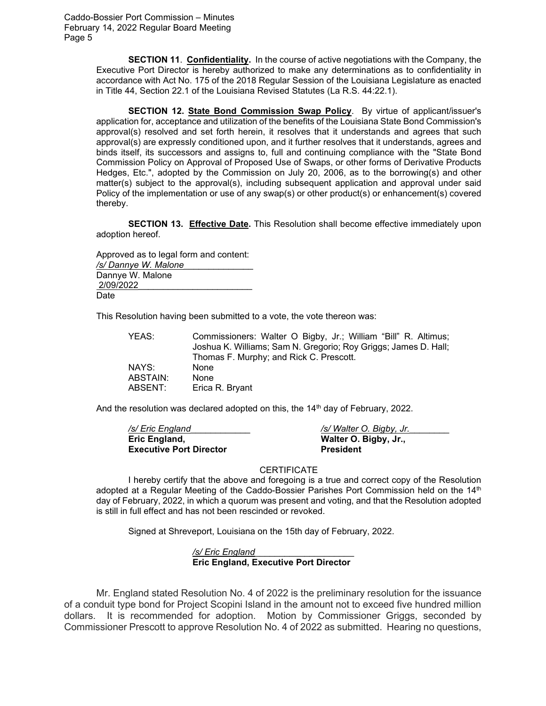> **SECTION 11**. **Confidentiality.** In the course of active negotiations with the Company, the Executive Port Director is hereby authorized to make any determinations as to confidentiality in accordance with Act No. 175 of the 2018 Regular Session of the Louisiana Legislature as enacted in Title 44, Section 22.1 of the Louisiana Revised Statutes (La R.S. 44:22.1).

> **SECTION 12. State Bond Commission Swap Policy**. By virtue of applicant/issuer's application for, acceptance and utilization of the benefits of the Louisiana State Bond Commission's approval(s) resolved and set forth herein, it resolves that it understands and agrees that such approval(s) are expressly conditioned upon, and it further resolves that it understands, agrees and binds itself, its successors and assigns to, full and continuing compliance with the "State Bond Commission Policy on Approval of Proposed Use of Swaps, or other forms of Derivative Products Hedges, Etc.", adopted by the Commission on July 20, 2006, as to the borrowing(s) and other matter(s) subject to the approval(s), including subsequent application and approval under said Policy of the implementation or use of any swap(s) or other product(s) or enhancement(s) covered thereby.

> **SECTION 13. Effective Date.** This Resolution shall become effective immediately upon adoption hereof.

Approved as to legal form and content: */s/ Dannye W. Malone*\_\_\_\_\_\_\_\_\_\_\_\_\_\_ Dannye W. Malone 2/09/2022\_\_\_\_\_\_\_\_\_\_\_\_\_\_\_\_\_\_\_\_\_\_\_ Date

This Resolution having been submitted to a vote, the vote thereon was:

YEAS: Commissioners: Walter O Bigby, Jr.; William "Bill" R. Altimus; Joshua K. Williams; Sam N. Gregorio; Roy Griggs; James D. Hall; Thomas F. Murphy; and Rick C. Prescott. NAYS: ABSTAIN: None ABSENT: Erica R. Bryant

And the resolution was declared adopted on this, the  $14<sup>th</sup>$  day of February, 2022.

*/s/ Eric England*\_\_\_\_\_\_\_\_\_\_\_\_ */s/ Walter O. Bigby, Jr.*\_\_\_\_\_\_\_\_ **Eric England, Walter O. Bigby, Jr., Executive Port Director President** 

**CERTIFICATE** 

I hereby certify that the above and foregoing is a true and correct copy of the Resolution adopted at a Regular Meeting of the Caddo-Bossier Parishes Port Commission held on the 14<sup>th</sup> day of February, 2022, in which a quorum was present and voting, and that the Resolution adopted is still in full effect and has not been rescinded or revoked.

Signed at Shreveport, Louisiana on the 15th day of February, 2022.

*/s/ Eric England*\_\_\_\_\_\_\_\_\_\_\_\_\_\_\_\_\_\_\_\_ **Eric England, Executive Port Director**

Mr. England stated Resolution No. 4 of 2022 is the preliminary resolution for the issuance of a conduit type bond for Project Scopini Island in the amount not to exceed five hundred million dollars. It is recommended for adoption. Motion by Commissioner Griggs, seconded by Commissioner Prescott to approve Resolution No. 4 of 2022 as submitted. Hearing no questions,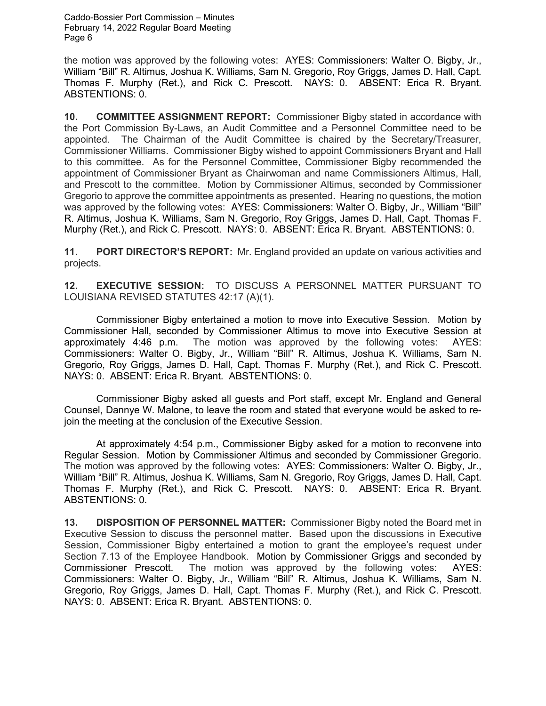the motion was approved by the following votes: AYES: Commissioners: Walter O. Bigby, Jr., William "Bill" R. Altimus, Joshua K. Williams, Sam N. Gregorio, Roy Griggs, James D. Hall, Capt. Thomas F. Murphy (Ret.), and Rick C. Prescott. NAYS: 0. ABSENT: Erica R. Bryant. ABSTENTIONS: 0.

**10. COMMITTEE ASSIGNMENT REPORT:** Commissioner Bigby stated in accordance with the Port Commission By-Laws, an Audit Committee and a Personnel Committee need to be appointed. The Chairman of the Audit Committee is chaired by the Secretary/Treasurer, Commissioner Williams. Commissioner Bigby wished to appoint Commissioners Bryant and Hall to this committee. As for the Personnel Committee, Commissioner Bigby recommended the appointment of Commissioner Bryant as Chairwoman and name Commissioners Altimus, Hall, and Prescott to the committee. Motion by Commissioner Altimus, seconded by Commissioner Gregorio to approve the committee appointments as presented. Hearing no questions, the motion was approved by the following votes: AYES: Commissioners: Walter O. Bigby, Jr., William "Bill" R. Altimus, Joshua K. Williams, Sam N. Gregorio, Roy Griggs, James D. Hall, Capt. Thomas F. Murphy (Ret.), and Rick C. Prescott. NAYS: 0. ABSENT: Erica R. Bryant. ABSTENTIONS: 0.

**11. PORT DIRECTOR'S REPORT:** Mr. England provided an update on various activities and projects.

**12. EXECUTIVE SESSION:** TO DISCUSS A PERSONNEL MATTER PURSUANT TO LOUISIANA REVISED STATUTES 42:17 (A)(1).

Commissioner Bigby entertained a motion to move into Executive Session. Motion by Commissioner Hall, seconded by Commissioner Altimus to move into Executive Session at approximately 4:46 p.m. The motion was approved by the following votes: AYES: Commissioners: Walter O. Bigby, Jr., William "Bill" R. Altimus, Joshua K. Williams, Sam N. Gregorio, Roy Griggs, James D. Hall, Capt. Thomas F. Murphy (Ret.), and Rick C. Prescott. NAYS: 0. ABSENT: Erica R. Bryant. ABSTENTIONS: 0.

Commissioner Bigby asked all guests and Port staff, except Mr. England and General Counsel, Dannye W. Malone, to leave the room and stated that everyone would be asked to rejoin the meeting at the conclusion of the Executive Session.

At approximately 4:54 p.m., Commissioner Bigby asked for a motion to reconvene into Regular Session. Motion by Commissioner Altimus and seconded by Commissioner Gregorio. The motion was approved by the following votes: AYES: Commissioners: Walter O. Bigby, Jr., William "Bill" R. Altimus, Joshua K. Williams, Sam N. Gregorio, Roy Griggs, James D. Hall, Capt. Thomas F. Murphy (Ret.), and Rick C. Prescott. NAYS: 0. ABSENT: Erica R. Bryant. ABSTENTIONS: 0.

**13. DISPOSITION OF PERSONNEL MATTER:** Commissioner Bigby noted the Board met in Executive Session to discuss the personnel matter. Based upon the discussions in Executive Session, Commissioner Bigby entertained a motion to grant the employee's request under Section 7.13 of the Employee Handbook. Motion by Commissioner Griggs and seconded by Commissioner Prescott. The motion was approved by the following votes: AYES: Commissioners: Walter O. Bigby, Jr., William "Bill" R. Altimus, Joshua K. Williams, Sam N. Gregorio, Roy Griggs, James D. Hall, Capt. Thomas F. Murphy (Ret.), and Rick C. Prescott. NAYS: 0. ABSENT: Erica R. Bryant. ABSTENTIONS: 0.